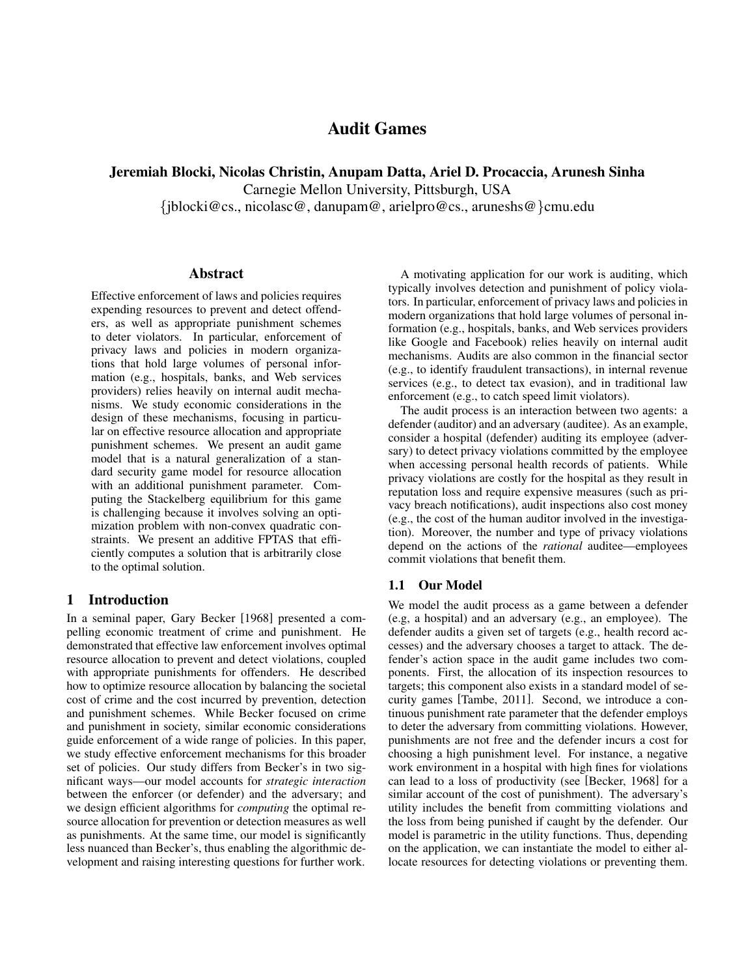# Audit Games

Jeremiah Blocki, Nicolas Christin, Anupam Datta, Ariel D. Procaccia, Arunesh Sinha

Carnegie Mellon University, Pittsburgh, USA

{jblocki@cs., nicolasc@, danupam@, arielpro@cs., aruneshs@}cmu.edu

#### Abstract

Effective enforcement of laws and policies requires expending resources to prevent and detect offenders, as well as appropriate punishment schemes to deter violators. In particular, enforcement of privacy laws and policies in modern organizations that hold large volumes of personal information (e.g., hospitals, banks, and Web services providers) relies heavily on internal audit mechanisms. We study economic considerations in the design of these mechanisms, focusing in particular on effective resource allocation and appropriate punishment schemes. We present an audit game model that is a natural generalization of a standard security game model for resource allocation with an additional punishment parameter. Computing the Stackelberg equilibrium for this game is challenging because it involves solving an optimization problem with non-convex quadratic constraints. We present an additive FPTAS that efficiently computes a solution that is arbitrarily close to the optimal solution.

## 1 Introduction

In a seminal paper, Gary Becker [1968] presented a compelling economic treatment of crime and punishment. He demonstrated that effective law enforcement involves optimal resource allocation to prevent and detect violations, coupled with appropriate punishments for offenders. He described how to optimize resource allocation by balancing the societal cost of crime and the cost incurred by prevention, detection and punishment schemes. While Becker focused on crime and punishment in society, similar economic considerations guide enforcement of a wide range of policies. In this paper, we study effective enforcement mechanisms for this broader set of policies. Our study differs from Becker's in two significant ways—our model accounts for *strategic interaction* between the enforcer (or defender) and the adversary; and we design efficient algorithms for *computing* the optimal resource allocation for prevention or detection measures as well as punishments. At the same time, our model is significantly less nuanced than Becker's, thus enabling the algorithmic development and raising interesting questions for further work.

A motivating application for our work is auditing, which typically involves detection and punishment of policy violators. In particular, enforcement of privacy laws and policies in modern organizations that hold large volumes of personal information (e.g., hospitals, banks, and Web services providers like Google and Facebook) relies heavily on internal audit mechanisms. Audits are also common in the financial sector (e.g., to identify fraudulent transactions), in internal revenue services (e.g., to detect tax evasion), and in traditional law enforcement (e.g., to catch speed limit violators).

The audit process is an interaction between two agents: a defender (auditor) and an adversary (auditee). As an example, consider a hospital (defender) auditing its employee (adversary) to detect privacy violations committed by the employee when accessing personal health records of patients. While privacy violations are costly for the hospital as they result in reputation loss and require expensive measures (such as privacy breach notifications), audit inspections also cost money (e.g., the cost of the human auditor involved in the investigation). Moreover, the number and type of privacy violations depend on the actions of the *rational* auditee—employees commit violations that benefit them.

#### 1.1 Our Model

We model the audit process as a game between a defender (e.g, a hospital) and an adversary (e.g., an employee). The defender audits a given set of targets (e.g., health record accesses) and the adversary chooses a target to attack. The defender's action space in the audit game includes two components. First, the allocation of its inspection resources to targets; this component also exists in a standard model of security games [Tambe, 2011]. Second, we introduce a continuous punishment rate parameter that the defender employs to deter the adversary from committing violations. However, punishments are not free and the defender incurs a cost for choosing a high punishment level. For instance, a negative work environment in a hospital with high fines for violations can lead to a loss of productivity (see [Becker, 1968] for a similar account of the cost of punishment). The adversary's utility includes the benefit from committing violations and the loss from being punished if caught by the defender. Our model is parametric in the utility functions. Thus, depending on the application, we can instantiate the model to either allocate resources for detecting violations or preventing them.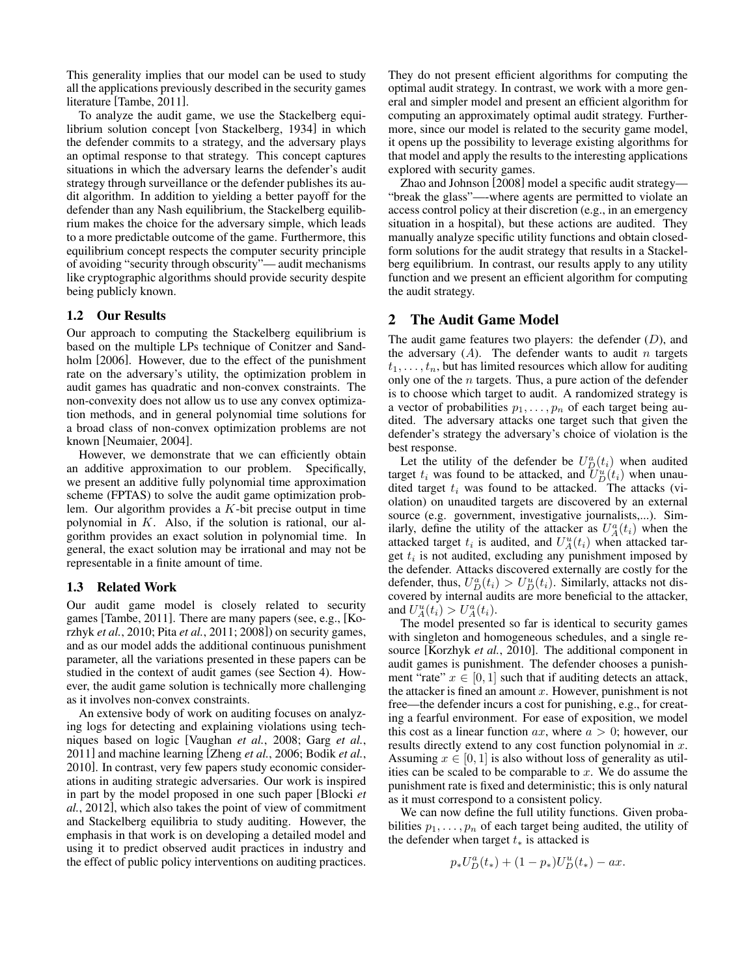This generality implies that our model can be used to study all the applications previously described in the security games literature [Tambe, 2011].

To analyze the audit game, we use the Stackelberg equilibrium solution concept [von Stackelberg, 1934] in which the defender commits to a strategy, and the adversary plays an optimal response to that strategy. This concept captures situations in which the adversary learns the defender's audit strategy through surveillance or the defender publishes its audit algorithm. In addition to yielding a better payoff for the defender than any Nash equilibrium, the Stackelberg equilibrium makes the choice for the adversary simple, which leads to a more predictable outcome of the game. Furthermore, this equilibrium concept respects the computer security principle of avoiding "security through obscurity"— audit mechanisms like cryptographic algorithms should provide security despite being publicly known.

#### 1.2 Our Results

Our approach to computing the Stackelberg equilibrium is based on the multiple LPs technique of Conitzer and Sandholm [2006]. However, due to the effect of the punishment rate on the adversary's utility, the optimization problem in audit games has quadratic and non-convex constraints. The non-convexity does not allow us to use any convex optimization methods, and in general polynomial time solutions for a broad class of non-convex optimization problems are not known [Neumaier, 2004].

However, we demonstrate that we can efficiently obtain an additive approximation to our problem. Specifically, we present an additive fully polynomial time approximation scheme (FPTAS) to solve the audit game optimization problem. Our algorithm provides a  $K$ -bit precise output in time polynomial in K. Also, if the solution is rational, our algorithm provides an exact solution in polynomial time. In general, the exact solution may be irrational and may not be representable in a finite amount of time.

#### 1.3 Related Work

Our audit game model is closely related to security games [Tambe, 2011]. There are many papers (see, e.g., [Korzhyk *et al.*, 2010; Pita *et al.*, 2011; 2008]) on security games, and as our model adds the additional continuous punishment parameter, all the variations presented in these papers can be studied in the context of audit games (see Section 4). However, the audit game solution is technically more challenging as it involves non-convex constraints.

An extensive body of work on auditing focuses on analyzing logs for detecting and explaining violations using techniques based on logic [Vaughan *et al.*, 2008; Garg *et al.*, 2011] and machine learning [Zheng *et al.*, 2006; Bodik *et al.*, 2010]. In contrast, very few papers study economic considerations in auditing strategic adversaries. Our work is inspired in part by the model proposed in one such paper [Blocki *et al.*, 2012], which also takes the point of view of commitment and Stackelberg equilibria to study auditing. However, the emphasis in that work is on developing a detailed model and using it to predict observed audit practices in industry and the effect of public policy interventions on auditing practices. They do not present efficient algorithms for computing the optimal audit strategy. In contrast, we work with a more general and simpler model and present an efficient algorithm for computing an approximately optimal audit strategy. Furthermore, since our model is related to the security game model, it opens up the possibility to leverage existing algorithms for that model and apply the results to the interesting applications explored with security games.

Zhao and Johnson [2008] model a specific audit strategy— "break the glass"—-where agents are permitted to violate an access control policy at their discretion (e.g., in an emergency situation in a hospital), but these actions are audited. They manually analyze specific utility functions and obtain closedform solutions for the audit strategy that results in a Stackelberg equilibrium. In contrast, our results apply to any utility function and we present an efficient algorithm for computing the audit strategy.

#### 2 The Audit Game Model

The audit game features two players: the defender  $(D)$ , and the adversary  $(A)$ . The defender wants to audit *n* targets  $t_1, \ldots, t_n$ , but has limited resources which allow for auditing only one of the  $n$  targets. Thus, a pure action of the defender is to choose which target to audit. A randomized strategy is a vector of probabilities  $p_1, \ldots, p_n$  of each target being audited. The adversary attacks one target such that given the defender's strategy the adversary's choice of violation is the best response.

Let the utility of the defender be  $U_D^a(t_i)$  when audited target  $t_i$  was found to be attacked, and  $\overline{U}_D^u(t_i)$  when unaudited target  $t_i$  was found to be attacked. The attacks (violation) on unaudited targets are discovered by an external source (e.g. government, investigative journalists,...). Similarly, define the utility of the attacker as  $U_A^a(t_i)$  when the attacked target  $t_i$  is audited, and  $U_A^u(t_i)$  when attacked target  $t_i$  is not audited, excluding any punishment imposed by the defender. Attacks discovered externally are costly for the defender, thus,  $U_D^a(t_i) > U_D^u(t_i)$ . Similarly, attacks not discovered by internal audits are more beneficial to the attacker, and  $U_A^u(t_i) > U_A^a(t_i)$ .

The model presented so far is identical to security games with singleton and homogeneous schedules, and a single resource [Korzhyk *et al.*, 2010]. The additional component in audit games is punishment. The defender chooses a punishment "rate"  $x \in [0, 1]$  such that if auditing detects an attack, the attacker is fined an amount  $x$ . However, punishment is not free—the defender incurs a cost for punishing, e.g., for creating a fearful environment. For ease of exposition, we model this cost as a linear function  $ax$ , where  $a > 0$ ; however, our results directly extend to any cost function polynomial in  $x$ . Assuming  $x \in [0, 1]$  is also without loss of generality as utilities can be scaled to be comparable to  $x$ . We do assume the punishment rate is fixed and deterministic; this is only natural as it must correspond to a consistent policy.

We can now define the full utility functions. Given probabilities  $p_1, \ldots, p_n$  of each target being audited, the utility of the defender when target  $t_*$  is attacked is

$$
p_* U_D^a(t_*) + (1 - p_*) U_D^u(t_*) - ax.
$$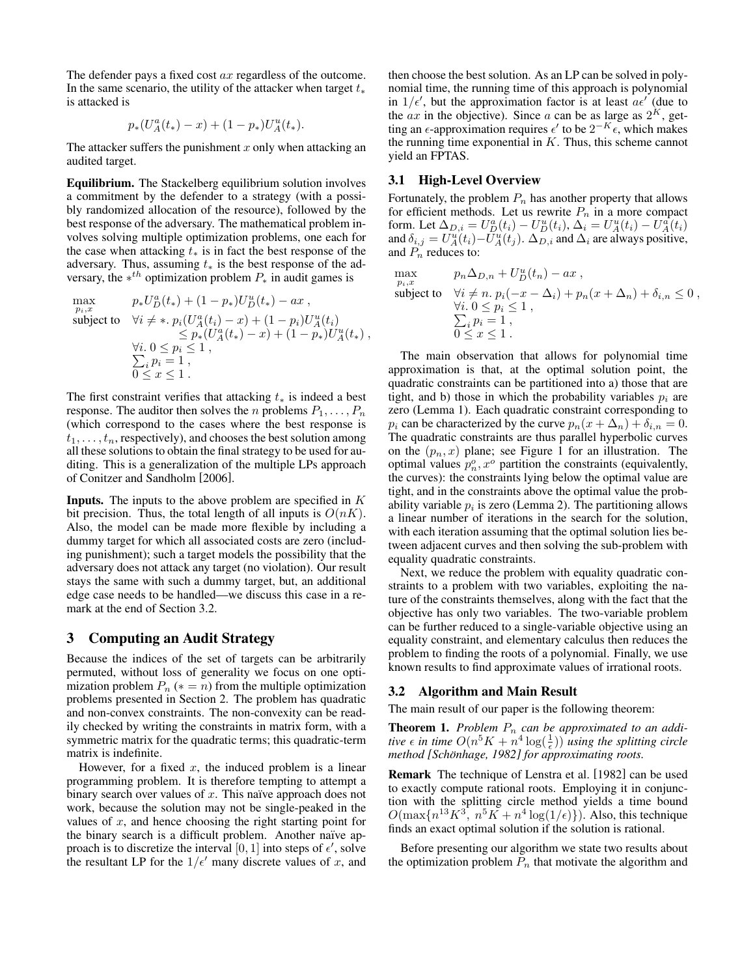The defender pays a fixed cost ax regardless of the outcome. In the same scenario, the utility of the attacker when target  $t_*$ is attacked is

$$
p_*(U^a_A(t_*)-x) + (1-p_*)U^u_A(t_*).
$$

The attacker suffers the punishment  $x$  only when attacking an audited target.

Equilibrium. The Stackelberg equilibrium solution involves a commitment by the defender to a strategy (with a possibly randomized allocation of the resource), followed by the best response of the adversary. The mathematical problem involves solving multiple optimization problems, one each for the case when attacking  $t_*$  is in fact the best response of the adversary. Thus, assuming  $t_*$  is the best response of the adversary, the  $*^{th}$  optimization problem  $P_*$  in audit games is

$$
\max_{p_i, x} \qquad p_* U_D^a(t_*) + (1 - p_*) U_D^u(t_*) - ax ,
$$
\nsubject to\n
$$
\forall i \neq *, \ p_i (U_A^a(t_i) - x) + (1 - p_i) U_A^u(t_i)
$$
\n
$$
\leq p_* (U_A^a(t_*) - x) + (1 - p_*) U_A^u(t_*) ,
$$
\n
$$
\forall i. \ 0 \leq p_i \leq 1 ,
$$
\n
$$
\sum_i p_i = 1 ,
$$
\n
$$
0 \leq x \leq 1 .
$$

The first constraint verifies that attacking  $t_*$  is indeed a best response. The auditor then solves the *n* problems  $P_1, \ldots, P_n$ (which correspond to the cases where the best response is  $t_1, \ldots, t_n$ , respectively), and chooses the best solution among all these solutions to obtain the final strategy to be used for auditing. This is a generalization of the multiple LPs approach of Conitzer and Sandholm [2006].

**Inputs.** The inputs to the above problem are specified in  $K$ bit precision. Thus, the total length of all inputs is  $O(nK)$ . Also, the model can be made more flexible by including a dummy target for which all associated costs are zero (including punishment); such a target models the possibility that the adversary does not attack any target (no violation). Our result stays the same with such a dummy target, but, an additional edge case needs to be handled—we discuss this case in a remark at the end of Section 3.2.

### 3 Computing an Audit Strategy

Because the indices of the set of targets can be arbitrarily permuted, without loss of generality we focus on one optimization problem  $P_n$  ( $* = n$ ) from the multiple optimization problems presented in Section 2. The problem has quadratic and non-convex constraints. The non-convexity can be readily checked by writing the constraints in matrix form, with a symmetric matrix for the quadratic terms; this quadratic-term matrix is indefinite.

However, for a fixed  $x$ , the induced problem is a linear programming problem. It is therefore tempting to attempt a binary search over values of  $x$ . This naïve approach does not work, because the solution may not be single-peaked in the values of  $x$ , and hence choosing the right starting point for the binary search is a difficult problem. Another naïve approach is to discretize the interval [0, 1] into steps of  $\epsilon'$ , solve the resultant LP for the  $1/\epsilon'$  many discrete values of x, and then choose the best solution. As an LP can be solved in polynomial time, the running time of this approach is polynomial in  $1/\epsilon'$ , but the approximation factor is at least  $a\epsilon'$  (due to the  $ax$  in the objective). Since a can be as large as  $2^K$ , getting an  $\epsilon$ -approximation requires  $\epsilon'$  to be  $2^{-K} \epsilon$ , which makes the running time exponential in  $K$ . Thus, this scheme cannot yield an FPTAS.

#### 3.1 High-Level Overview

Fortunately, the problem  $P_n$  has another property that allows for efficient methods. Let us rewrite  $P_n$  in a more compact form. Let  $\Delta_{D,i} = U_D^a(t_i) - U_D^u(t_i)$ ,  $\Delta_i = U_A^u(t_i) - U_A^a(t_i)$ and  $\delta_{i,j} = U_A^u(t_i) - \tilde{U}_A^u(t_j)$ .  $\Delta_{D,i}$  and  $\Delta_i$  are always positive, and  $P_n$  reduces to:

max subject to  $\forall i \neq n$ .  $p_i(-x - \Delta_i) + p_n(x + \Delta_n) + \delta_{i,n} \leq 0$ ,  $p_n \Delta_{D,n} + U_D^u(t_n) - ax$ , ∀ P *i*.  $0 \le p_i \le 1$ ,  $i p_i = 1,$  $0\leq x\leq 1$ .

The main observation that allows for polynomial time approximation is that, at the optimal solution point, the quadratic constraints can be partitioned into a) those that are tight, and b) those in which the probability variables  $p_i$  are zero (Lemma 1). Each quadratic constraint corresponding to  $p_i$  can be characterized by the curve  $p_n(x + \Delta_n) + \delta_{i,n} = 0$ . The quadratic constraints are thus parallel hyperbolic curves on the  $(p_n, x)$  plane; see Figure 1 for an illustration. The optimal values  $p_n^o, x^o$  partition the constraints (equivalently, the curves): the constraints lying below the optimal value are tight, and in the constraints above the optimal value the probability variable  $p_i$  is zero (Lemma 2). The partitioning allows a linear number of iterations in the search for the solution, with each iteration assuming that the optimal solution lies between adjacent curves and then solving the sub-problem with equality quadratic constraints.

Next, we reduce the problem with equality quadratic constraints to a problem with two variables, exploiting the nature of the constraints themselves, along with the fact that the objective has only two variables. The two-variable problem can be further reduced to a single-variable objective using an equality constraint, and elementary calculus then reduces the problem to finding the roots of a polynomial. Finally, we use known results to find approximate values of irrational roots.

## 3.2 Algorithm and Main Result

The main result of our paper is the following theorem:

**Theorem 1.** Problem  $P_n$  can be approximated to an addi*tive*  $\epsilon$  *in time*  $O(n^5K + n^4 \log(\frac{1}{\epsilon}))$  *using the splitting circle method* [Schönhage, 1982] for approximating roots.

Remark The technique of Lenstra et al. [1982] can be used to exactly compute rational roots. Employing it in conjunction with the splitting circle method yields a time bound  $O(\max\{n^{13}K^3, n^5K + n^4\log(1/\epsilon)\})$ . Also, this technique finds an exact optimal solution if the solution is rational.

Before presenting our algorithm we state two results about the optimization problem  $\overline{P}_n$  that motivate the algorithm and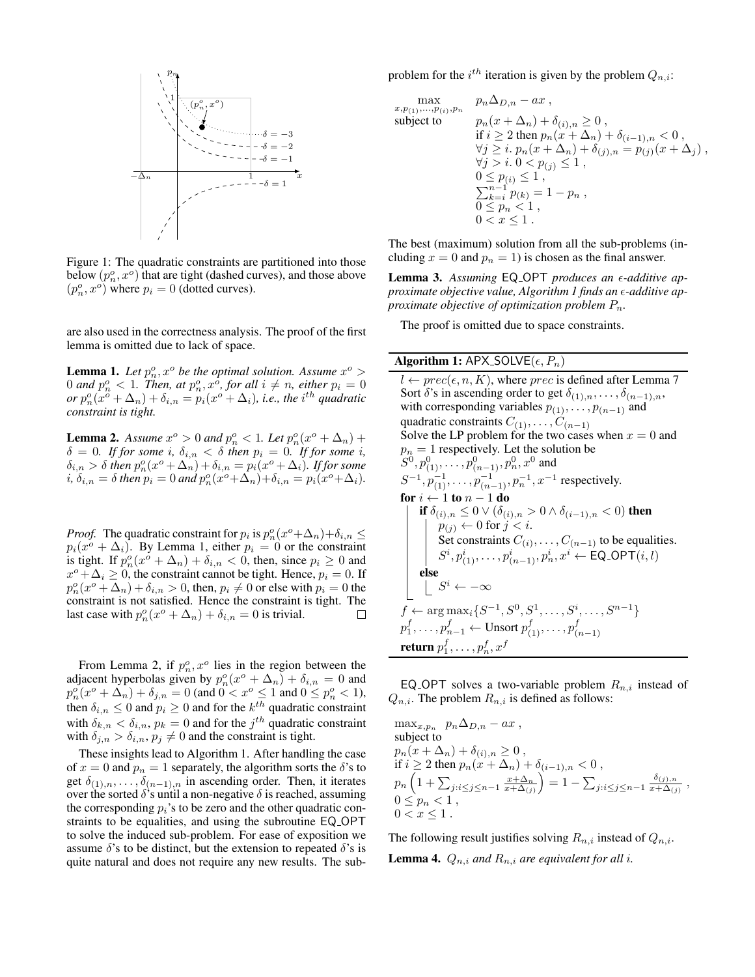

Figure 1: The quadratic constraints are partitioned into those below  $(p_n^o, x^o)$  that are tight (dashed curves), and those above  $(p_n^o, x^o)$  where  $p_i = 0$  (dotted curves).

are also used in the correctness analysis. The proof of the first lemma is omitted due to lack of space.

**Lemma 1.** Let  $p_n^o, x^o$  be the optimal solution. Assume  $x^o >$ 0 and  $p_n^o < 1$ . Then, at  $p_n^o, x^o$ , for all  $i \neq n$ , either  $p_i = 0$ *or*  $p_n^o(x^o + \Delta_n) + \delta_{i,n} = p_i(x^o + \Delta_i)$ , *i.e., the i*<sup>th</sup> *quadratic constraint is tight.*

**Lemma 2.** Assume  $x^{\circ} > 0$  and  $p_n^{\circ} < 1$ . Let  $p_n^{\circ}(x^{\circ} + \Delta_n)$  +  $\delta = 0$ *. If for some i,*  $\delta_{i,n} < \delta$  *then*  $p_i = 0$ *. If for some i,*  $\delta_{i,n} > \delta$  *then*  $p_n^o(x^o + \Delta_n) + \delta_{i,n} = p_i(x^o + \Delta_i)$ *. If for some*  $i, \delta_{i,n} = \delta$  then  $p_i = 0$  and  $p_n^o(x^o + \Delta_n) + \delta_{i,n} = p_i(x^o + \Delta_i)$ .

*Proof.* The quadratic constraint for  $p_i$  is  $p_n^o(x^o + \Delta_n) + \delta_{i,n} \leq$  $p_i(x^o + \Delta_i)$ . By Lemma 1, either  $p_i = 0$  or the constraint is tight. If  $p_n^o(x^o + \Delta_n) + \delta_{i,n} < 0$ , then, since  $p_i \ge 0$  and  $x^o + \Delta_i \ge 0$ , the constraint cannot be tight. Hence,  $p_i = 0$ . If  $p_n^o(x^o + \Delta_n) + \delta_{i,n} > 0$ , then,  $p_i \neq 0$  or else with  $p_i = 0$  the constraint is not satisfied. Hence the constraint is tight. The last case with  $p_n^o(x^o + \Delta_n) + \delta_{i,n} = 0$  is trivial.  $\Box$ 

From Lemma 2, if  $p_n^o, x^o$  lies in the region between the adjacent hyperbolas given by  $p_n^o(x^o + \Delta_n) + \delta_{i,n} = 0$  and  $p_n^{\circ}(x^o + \Delta_n) + \delta_{j,n} = 0$  (and  $0 < x^o \le 1$  and  $0 \le p_n^o < 1$ ), then  $\delta_{i,n} \leq 0$  and  $p_i \geq 0$  and for the  $k^{th}$  quadratic constraint with  $\delta_{k,n} < \delta_{i,n}$ ,  $p_k = 0$  and for the  $j^{th}$  quadratic constraint with  $\delta_{j,n} > \delta_{i,n}, p_j \neq 0$  and the constraint is tight.

These insights lead to Algorithm 1. After handling the case of  $x = 0$  and  $p_n = 1$  separately, the algorithm sorts the  $\delta$ 's to get  $\delta_{(1),n}, \ldots, \delta_{(n-1),n}$  in ascending order. Then, it iterates over the sorted  $\delta$ 's until a non-negative  $\delta$  is reached, assuming the corresponding  $p_i$ 's to be zero and the other quadratic constraints to be equalities, and using the subroutine EQ OPT to solve the induced sub-problem. For ease of exposition we assume  $\delta$ 's to be distinct, but the extension to repeated  $\delta$ 's is quite natural and does not require any new results. The subproblem for the  $i^{th}$  iteration is given by the problem  $Q_{n,i}$ :

$$
\max_{x, p_{(1)}, \dots, p_{(i)}, p_n} \quad p_n \Delta_{D,n} - ax ,
$$
\nsubject to\n
$$
p_n(x + \Delta_n) + \delta_{(i), n} \ge 0 ,
$$
\n
$$
\text{if } i \ge 2 \text{ then } p_n(x + \Delta_n) + \delta_{(i-1), n} < 0 ,
$$
\n
$$
\forall j \ge i. \ p_n(x + \Delta_n) + \delta_{(j), n} = p_{(j)}(x + \Delta_j) ,
$$
\n
$$
\forall j > i. \ 0 < p_{(j)} \le 1 ,
$$
\n
$$
0 \le p_{(i)} \le 1 ,
$$
\n
$$
\sum_{k=i}^{n-1} p_{(k)} = 1 - p_n ,
$$
\n
$$
0 \le p_n < 1 ,
$$
\n
$$
0 < x \le 1 .
$$

The best (maximum) solution from all the sub-problems (including  $x = 0$  and  $p_n = 1$ ) is chosen as the final answer.

Lemma 3. Assuming EQ<sub>-OPT</sub> produces an  $\epsilon$ -additive ap*proximate objective value, Algorithm 1 finds an -additive approximate objective of optimization problem* Pn*.*

The proof is omitted due to space constraints.

#### Algorithm 1: APX\_SOLVE $(\epsilon, P_n)$

 $l \leftarrow prec(\epsilon, n, K)$ , where *prec* is defined after Lemma 7 Sort  $\delta$ 's in ascending order to get  $\delta_{(1),n},\ldots,\delta_{(n-1),n}$ , with corresponding variables  $p_{(1)}, \ldots, p_{(n-1)}$  and quadratic constraints  $C_{(1)}, \ldots, C_{(n-1)}$ Solve the LP problem for the two cases when  $x = 0$  and  $p_n = 1$  respectively. Let the solution be  $(S^0, p_{(1)}^0, \ldots, p_{(n-1)}^0, p_n^0, x^0 \text{ and }$  $S^{-1}, p_{(1)}^{-1}, \ldots, p_{(n-1)}^{-1}, p_n^{-1}, x^{-1}$  respectively. for  $i \leftarrow 1$  to  $n - 1$  do if  $\delta_{(i),n} \leq 0$   $\vee$   $(\delta_{(i),n} > 0 \wedge \delta_{(i-1),n} < 0)$  then  $p_{(j)} \leftarrow 0$  for  $j < i$ . Set constraints  $C_{(i)}, \ldots, C_{(n-1)}$  to be equalities.  $S^{i}, p_{(1)}^{i}, \ldots, p_{(n-1)}^{i}, p_{n}^{i}, x^{i} \leftarrow \textsf{EQ\_OPT}(i, l)$ else  $S^i \leftarrow -\infty$  $f \leftarrow \arg \max_i \{S^{-1}, S^0, S^1, \dots, S^i, \dots, S^{n-1}\}$  $p_1^f, \ldots, p_{n-1}^f \leftarrow \text{Unsort}\ p_{(1)}^f, \ldots, p_{(n)}^f$  $(n-1)$ return  $p_1^f,\ldots,p_n^f,x^f$ 

EQ OPT solves a two-variable problem  $R_{n,i}$  instead of  $Q_{n,i}$ . The problem  $R_{n,i}$  is defined as follows:

$$
\begin{array}{l} \displaystyle \max_{x,p_n}\;\; p_n\Delta_{D,n}-ax\;,\\ \mbox{subject to}\\ \displaystyle p_n(x+\Delta_n)+\delta_{(i),n}\geq 0\;,\\ \displaystyle \text{if}\; i\geq 2\;\text{then}\; p_n(x+\Delta_n)+\delta_{(i-1),n}<0\;,\\ \displaystyle p_n\left(1+\sum_{j:i\leq j\leq n-1}\frac{x+\Delta_n}{x+\Delta_{(j)}}\right)=1-\sum_{j:i\leq j\leq n-1}\frac{\delta_{(j),n}}{x+\Delta_{(j)}}\;,\\ \ 0\leq p_n<1\;,\\ \displaystyle 0
$$

The following result justifies solving  $R_{n,i}$  instead of  $Q_{n,i}$ . **Lemma 4.**  $Q_{n,i}$  *and*  $R_{n,i}$  *are equivalent for all i.*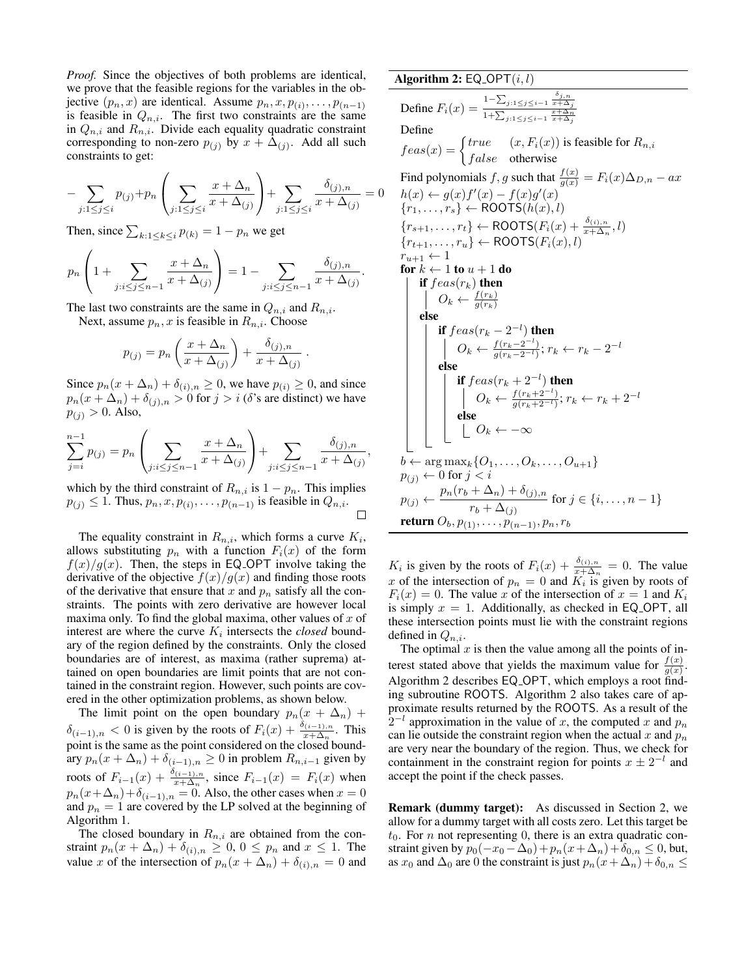*Proof.* Since the objectives of both problems are identical, we prove that the feasible regions for the variables in the objective  $(p_n, x)$  are identical. Assume  $p_n, x, p_{(i)}, \ldots, p_{(n-1)}$ is feasible in  $Q_{n,i}$ . The first two constraints are the same in  $Q_{n,i}$  and  $R_{n,i}$ . Divide each equality quadratic constraint corresponding to non-zero  $p_{(j)}$  by  $x + \Delta_{(j)}$ . Add all such constraints to get:

$$
-\sum_{j:1 \le j \le i} p_{(j)} + p_n \left( \sum_{j:1 \le j \le i} \frac{x + \Delta_n}{x + \Delta_{(j)}} \right) + \sum_{j:1 \le j \le i} \frac{\delta_{(j),n}}{x + \Delta_{(j)}} = 0
$$

Then, since  $\sum_{k:1 \leq k \leq i} p_{(k)} = 1 - p_n$  we get

$$
p_n\left(1+\sum_{j:i\leq j\leq n-1}\frac{x+\Delta_n}{x+\Delta_{(j)}}\right)=1-\sum_{j:i\leq j\leq n-1}\frac{\delta_{(j),n}}{x+\Delta_{(j)}}.
$$

The last two constraints are the same in  $Q_{n,i}$  and  $R_{n,i}$ .

Next, assume  $p_n, x$  is feasible in  $R_{n,i}$ . Choose

$$
p_{(j)} = p_n \left( \frac{x + \Delta_n}{x + \Delta_{(j)}} \right) + \frac{\delta_{(j),n}}{x + \Delta_{(j)}}
$$

.

,

Since  $p_n(x + \Delta_n) + \delta_{(i),n} \ge 0$ , we have  $p_{(i)} \ge 0$ , and since  $p_n(x + \Delta_n) + \delta_{(j),n} > 0$  for  $j > i$  ( $\delta$ 's are distinct) we have  $p_{(j)} > 0$ . Also,

$$
\sum_{j=i}^{n-1} p_{(j)} = p_n \left( \sum_{j:i \le j \le n-1} \frac{x + \Delta_n}{x + \Delta_{(j)}} \right) + \sum_{j:i \le j \le n-1} \frac{\delta_{(j),n}}{x + \Delta_{(j)}}
$$

which by the third constraint of  $R_{n,i}$  is  $1 - p_n$ . This implies  $p_{(j)} \leq 1$ . Thus,  $p_n, x, p_{(i)}, \ldots, p_{(n-1)}$  is feasible in  $Q_{n,i}$ .  $\Box$ 

The equality constraint in  $R_{n,i}$ , which forms a curve  $K_i$ , allows substituting  $p_n$  with a function  $F_i(x)$  of the form  $f(x)/g(x)$ . Then, the steps in EQ\_OPT involve taking the derivative of the objective  $f(x)/g(x)$  and finding those roots of the derivative that ensure that x and  $p_n$  satisfy all the constraints. The points with zero derivative are however local maxima only. To find the global maxima, other values of  $x$  of interest are where the curve  $K_i$  intersects the *closed* boundary of the region defined by the constraints. Only the closed boundaries are of interest, as maxima (rather suprema) attained on open boundaries are limit points that are not contained in the constraint region. However, such points are covered in the other optimization problems, as shown below.

The limit point on the open boundary  $p_n(x + \Delta_n)$  +  $\delta_{(i-1),n} < 0$  is given by the roots of  $F_i(x) + \frac{\delta_{(i-1),n}}{x + \Delta_n}$ . This point is the same as the point considered on the closed boundary  $p_n(x + \Delta_n) + \delta_{(i-1),n} \geq 0$  in problem  $R_{n,i-1}$  given by roots of  $F_{i-1}(x) + \frac{\delta_{(i-1),n}}{x + \Delta_n}$ , since  $F_{i-1}(x) = F_i(x)$  when  $p_n(x+\Delta_n)+\delta_{(i-1),n}=0$ . Also, the other cases when  $x=0$ and  $p_n = 1$  are covered by the LP solved at the beginning of Algorithm 1.

The closed boundary in  $R_{n,i}$  are obtained from the constraint  $p_n(x + \Delta_n) + \delta_{(i),n} \geq 0, 0 \leq p_n$  and  $x \leq 1$ . The value x of the intersection of  $p_n(x + \Delta_n) + \delta_{(i),n} = 0$  and

# Algorithm 2:  $EQ$ -OPT $(i, l)$ Define  $F_i(x) = \frac{1 - \sum_{j:1 \le j \le i-1} \frac{\delta_{j,n}}{x + \Delta_j}}{\frac{1}{x + \Delta_n}}$  $\frac{x+\Delta_n}{1+\sum_{j:1\leq j\leq i-1} \frac{x+\Delta_n}{x+\Delta_j}}$ Define  $feas(x) = \begin{cases} true & (x, F_i(x)) \text{ is feasible for } R_{n,i} \\ s & (1, 1) \end{cases}$  $false$  otherwise Find polynomials f, g such that  $\frac{f(x)}{g(x)} = F_i(x) \Delta_{D,n} - ax$  $h(x) \leftarrow g(x)f'(x) - f(x)g'(x)$  ${r_1, \ldots, r_s} \leftarrow \text{ROOTS}(\tilde{h}(x), l)$  ${r_{s+1}, \ldots, r_t} \leftarrow \text{ROOTS}(F_i(x) + \frac{\delta_{(i),n}}{x + \Delta_n}, l)$  ${r_{t+1}, \ldots, r_u} \leftarrow \text{ROOTS}(F_i(x), l)$  $r_{u+1} \leftarrow 1$ for  $k \leftarrow 1$  to  $u + 1$  do if  $feas(r_k)$  then  $O_k \leftarrow \frac{f(r_k)}{g(r_k)}$ else if  $feas(r_k-2^{-l})$  then  $O_k \leftarrow \frac{f(r_k-2^{-l})}{g(r_k-2^{-l})}; r_k \leftarrow r_k-2^{-l}$ else if  $feas(r_k+2^{-l})$  then  $O_k \leftarrow \frac{f(r_k+2^{-l})}{g(r_k+2^{-l})}; r_k \leftarrow r_k+2^{-l}$ else  $O_k \leftarrow -\infty$  $b \leftarrow \arg \max_k \{O_1, \ldots, O_k, \ldots, O_{u+1}\}$  $p_{(i)} \leftarrow 0$  for  $j < i$  $p_{(j)} \leftarrow \frac{p_n(r_b + \Delta_n) + \delta_{(j),n}}{n}$  $\frac{1}{r_b + \Delta_{(j)}}$  for  $j \in \{i, ..., n-1\}$ return  $O_b, p_{(1)}, \ldots, p_{(n-1)}, p_n, r_b$

 $K_i$  is given by the roots of  $F_i(x) + \frac{\delta_{(i),n}}{x + \Delta_n} = 0$ . The value x of the intersection of  $p_n = 0$  and  $K_i$  is given by roots of  $F_i(x) = 0$ . The value x of the intersection of  $x = 1$  and  $K_i$ is simply  $x = 1$ . Additionally, as checked in EQ\_OPT, all these intersection points must lie with the constraint regions defined in  $Q_{n,i}$ .

The optimal  $x$  is then the value among all the points of interest stated above that yields the maximum value for  $\frac{f(x)}{g(x)}$ . Algorithm 2 describes EQ OPT, which employs a root finding subroutine ROOTS. Algorithm 2 also takes care of approximate results returned by the ROOTS. As a result of the  $2^{-l}$  approximation in the value of x, the computed x and  $p_n$ can lie outside the constraint region when the actual x and  $p_n$ are very near the boundary of the region. Thus, we check for containment in the constraint region for points  $x \pm 2^{-l}$  and accept the point if the check passes.

Remark (dummy target): As discussed in Section 2, we allow for a dummy target with all costs zero. Let this target be  $t_0$ . For *n* not representing 0, there is an extra quadratic constraint given by  $p_0(-x_0 - \Delta_0) + p_n(x + \Delta_n) + \delta_{0,n} \leq 0$ , but, as  $x_0$  and  $\Delta_0$  are 0 the constraint is just  $p_n(x+\Delta_n)+\delta_{0,n} \leq$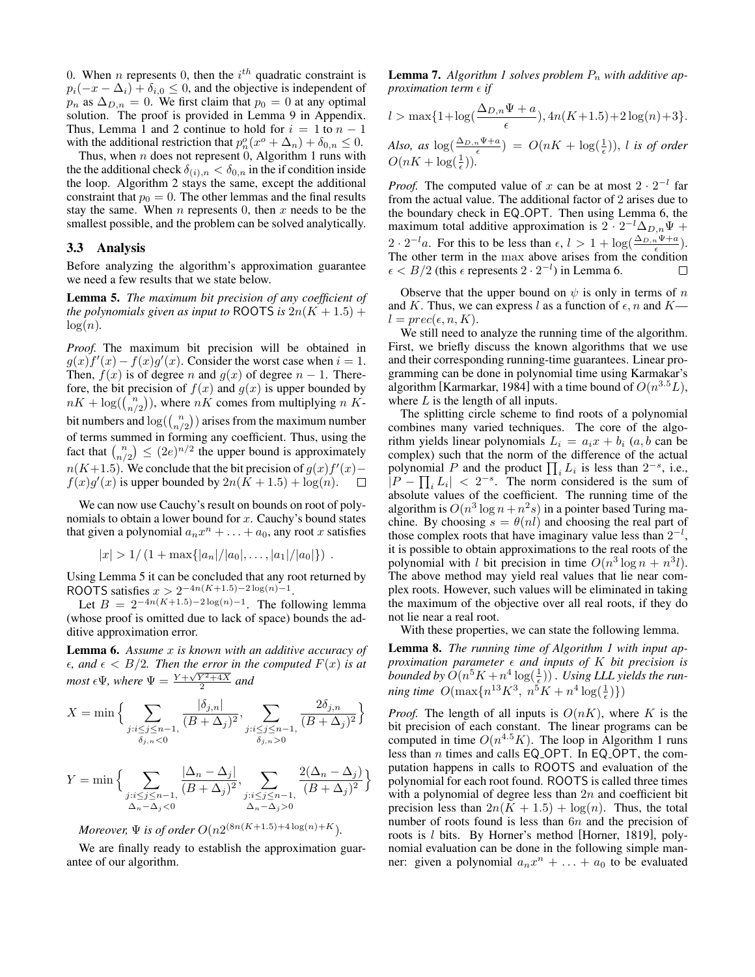0. When *n* represents 0, then the  $i^{th}$  quadratic constraint is  $p_i(-x - \Delta_i) + \delta_{i,0} \leq 0$ , and the objective is independent of  $p_n$  as  $\Delta_{D,n} = 0$ . We first claim that  $p_0 = 0$  at any optimal solution. The proof is provided in Lemma 9 in Appendix. Thus, Lemma 1 and 2 continue to hold for  $i = 1$  to  $n - 1$ with the additional restriction that  $p_n^o(x^o + \Delta_n) + \delta_{0,n} \leq 0$ .

Thus, when  $n$  does not represent 0, Algorithm 1 runs with the the additional check  $\delta_{(i),n} < \delta_{0,n}$  in the if condition inside the loop. Algorithm 2 stays the same, except the additional constraint that  $p_0 = 0$ . The other lemmas and the final results stay the same. When  $n$  represents 0, then  $x$  needs to be the smallest possible, and the problem can be solved analytically.

#### 3.3 Analysis

Before analyzing the algorithm's approximation guarantee we need a few results that we state below.

Lemma 5. *The maximum bit precision of any coefficient of the polynomials given as input to* ROOTS *is*  $2n(K + 1.5)$  +  $log(n)$ .

*Proof.* The maximum bit precision will be obtained in  $g(x) f'(x) - f(x)g'(x)$ . Consider the worst case when  $i = 1$ . Then,  $f(x)$  is of degree n and  $g(x)$  of degree  $n-1$ . Therefore, the bit precision of  $f(x)$  and  $g(x)$  is upper bounded by  $nK + \log(\binom{n}{n/2})$ , where  $nK$  comes from multiplying n Kbit numbers and  $log(\binom{n}{n/2})$  arises from the maximum number of terms summed in forming any coefficient. Thus, using the fact that  $\binom{n}{n/2} \leq (2e)^{n/2}$  the upper bound is approximately  $n(K+1.5)$ . We conclude that the bit precision of  $g(x)f'(x)$  –  $f(x)g'(x)$  is upper bounded by  $2n(\tilde{K}+1.5) + \log(n)$ .  $\Box$ 

We can now use Cauchy's result on bounds on root of polynomials to obtain a lower bound for  $x$ . Cauchy's bound states that given a polynomial  $a_n x^n + \ldots + a_0$ , any root x satisfies

$$
|x| > 1/(1 + \max\{|a_n|/|a_0|, \ldots, |a_1|/|a_0|\})
$$
.

Using Lemma 5 it can be concluded that any root returned by ROOTS satisfies  $x > 2^{-4n(K+1.5)-2\log(n)-1}$ .

Let  $B = 2^{-4n(K+1.5)-2\log(n)-1}$ . The following lemma (whose proof is omitted due to lack of space) bounds the additive approximation error.

Lemma 6. *Assume* x *is known with an additive accuracy of*  $\epsilon$ , and  $\epsilon$  <  $B/2$ . Then the error in the computed  $F(x)$  is at *most*  $\epsilon \Psi$ *, where*  $\Psi = \frac{Y + \sqrt{Y^2 + 4X}}{2}$  and

$$
X = \min\Big\{\sum_{\substack{j:i \le j \le n-1, \\ \delta_{j,n} < 0}} \frac{|\delta_{j,n}|}{(B + \Delta_j)^2}, \sum_{\substack{j:i \le j \le n-1, \\ \delta_{j,n} > 0}} \frac{2\delta_{j,n}}{(B + \Delta_j)^2}\Big\}
$$

$$
Y = \min\Big\{\sum_{\substack{j:i \le j \le n-1, \\ \Delta_n - \Delta_j < 0}} \frac{|\Delta_n - \Delta_j|}{(B + \Delta_j)^2}, \sum_{\substack{j:i \le j \le n-1, \\ \Delta_n - \Delta_j > 0}} \frac{2(\Delta_n - \Delta_j)}{(B + \Delta_j)^2}\Big\}
$$

*Moreover,*  $\Psi$  *is of order*  $O(n2^{(8n(K+1.5)+4\log(n)+K})$ *.* 

We are finally ready to establish the approximation guarantee of our algorithm.

**Lemma 7.** Algorithm 1 solves problem  $P_n$  with additive ap*proximation term*  $\epsilon$  *if* 

$$
l > \max\{1 + \log(\frac{\Delta_{D,n}\Psi + a}{\epsilon}), 4n(K + 1.5) + 2\log(n) + 3\}.
$$

Also, as  $\log(\frac{\Delta_{D,n}\Psi+a}{\epsilon}) = O(nK + \log(\frac{1}{\epsilon}))$ , *l is of order*  $O(nK + \log(\frac{1}{\epsilon}))$ .

*Proof.* The computed value of x can be at most  $2 \cdot 2^{-l}$  far from the actual value. The additional factor of 2 arises due to the boundary check in EQ OPT. Then using Lemma 6, the maximum total additive approximation is  $2 \cdot 2^{-l} \Delta_{D,n} \Psi +$  $2 \cdot 2^{-l}a$ . For this to be less than  $\epsilon, l > 1 + \log(\frac{\Delta_{D,n} \Psi + a}{\epsilon})$ . The other term in the max above arises from the condition  $\epsilon < B/2$  (this  $\epsilon$  represents  $2 \cdot 2^{-l}$ ) in Lemma 6.  $\Box$ 

Observe that the upper bound on  $\psi$  is only in terms of n and K. Thus, we can express l as a function of  $\epsilon$ , n and K  $l = prec(\epsilon, n, K).$ 

We still need to analyze the running time of the algorithm. First, we briefly discuss the known algorithms that we use and their corresponding running-time guarantees. Linear programming can be done in polynomial time using Karmakar's algorithm [Karmarkar, 1984] with a time bound of  $O(n^{3.5}L)$ , where  $L$  is the length of all inputs.

The splitting circle scheme to find roots of a polynomial combines many varied techniques. The core of the algorithm yields linear polynomials  $L_i = a_i x + b_i$  (a, b can be complex) such that the norm of the difference of the actual polynomial P and the product  $\prod_i L_i$  is less than  $2^{-s}$ , i.e.,  $\left| P - \prod_i L_i \right| < 2^{-s}$ . The norm considered is the sum of absolute values of the coefficient. The running time of the algorithm is  $O(n^3 \log n + n^2 s)$  in a pointer based Turing machine. By choosing  $s = \theta(nl)$  and choosing the real part of those complex roots that have imaginary value less than  $2^{-l}$ , it is possible to obtain approximations to the real roots of the polynomial with l bit precision in time  $O(n^3 \log n + n^3 l)$ . The above method may yield real values that lie near complex roots. However, such values will be eliminated in taking the maximum of the objective over all real roots, if they do not lie near a real root.

With these properties, we can state the following lemma.

Lemma 8. *The running time of Algorithm 1 with input approximation parameter*  $\epsilon$  *and inputs of*  $K$  *bit precision is* bounded by  $\hat{O}(n^5K + n^4\log(\frac{1}{\epsilon}))$ . Using LLL yields the run*ning time*  $O(\max\{n^{13}K^3, n^5K + n^4\log(\frac{1}{\epsilon})\})$ 

*Proof.* The length of all inputs is  $O(nK)$ , where K is the bit precision of each constant. The linear programs can be computed in time  $O(n^{4.5}K)$ . The loop in Algorithm 1 runs less than  $n$  times and calls EQ OPT. In EQ OPT, the computation happens in calls to ROOTS and evaluation of the polynomial for each root found. ROOTS is called three times with a polynomial of degree less than  $2n$  and coefficient bit precision less than  $2n(K + 1.5) + \log(n)$ . Thus, the total number of roots found is less than 6n and the precision of roots is *l* bits. By Horner's method [Horner, 1819], polynomial evaluation can be done in the following simple manner: given a polynomial  $a_n x^n + \ldots + a_0$  to be evaluated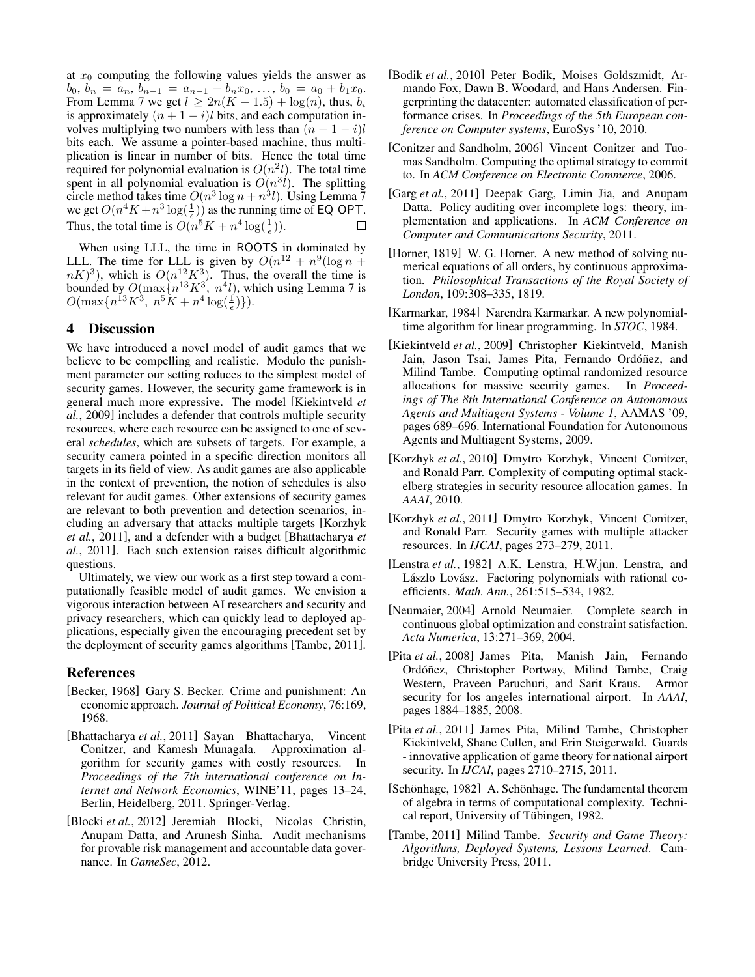at  $x_0$  computing the following values yields the answer as  $b_0, b_n = a_n, b_{n-1} = a_{n-1} + b_n x_0, \ldots, b_0 = a_0 + b_1 x_0.$ From Lemma 7 we get  $l \geq 2n(K + 1.5) + \log(n)$ , thus,  $b_i$ is approximately  $(n + 1 - i)l$  bits, and each computation involves multiplying two numbers with less than  $(n + 1 - i)l$ bits each. We assume a pointer-based machine, thus multiplication is linear in number of bits. Hence the total time required for polynomial evaluation is  $O(n^2l)$ . The total time spent in all polynomial evaluation is  $O(n^3l)$ . The splitting circle method takes time  $O(n^3 \log n + n^3 l)$ . Using Lemma 7 we get  $O(n^4K + n^3 \log(\frac{1}{\epsilon}))$  as the running time of EQ\_OPT. Thus, the total time is  $O(n^5K + n^4 \log(\frac{1}{\epsilon}))$ .

When using LLL, the time in ROOTS in dominated by LLL. The time for LLL is given by  $O(n^{12} + n^9(\log n +$  $(nK)^3$ ), which is  $O(n^{12}K^3)$ . Thus, the overall the time is bounded by  $O(\max\{n^{13}K^3, n^4l)$ , which using Lemma 7 is  $O(\max\{n^{13}K^3, n^5K + n^4\log(\frac{1}{\epsilon})\}).$ 

## 4 Discussion

We have introduced a novel model of audit games that we believe to be compelling and realistic. Modulo the punishment parameter our setting reduces to the simplest model of security games. However, the security game framework is in general much more expressive. The model [Kiekintveld *et al.*, 2009] includes a defender that controls multiple security resources, where each resource can be assigned to one of several *schedules*, which are subsets of targets. For example, a security camera pointed in a specific direction monitors all targets in its field of view. As audit games are also applicable in the context of prevention, the notion of schedules is also relevant for audit games. Other extensions of security games are relevant to both prevention and detection scenarios, including an adversary that attacks multiple targets [Korzhyk *et al.*, 2011], and a defender with a budget [Bhattacharya *et al.*, 2011]. Each such extension raises difficult algorithmic questions.

Ultimately, we view our work as a first step toward a computationally feasible model of audit games. We envision a vigorous interaction between AI researchers and security and privacy researchers, which can quickly lead to deployed applications, especially given the encouraging precedent set by the deployment of security games algorithms [Tambe, 2011].

#### References

- [Becker, 1968] Gary S. Becker. Crime and punishment: An economic approach. *Journal of Political Economy*, 76:169, 1968.
- [Bhattacharya *et al.*, 2011] Sayan Bhattacharya, Vincent Conitzer, and Kamesh Munagala. Approximation algorithm for security games with costly resources. In *Proceedings of the 7th international conference on Internet and Network Economics*, WINE'11, pages 13–24, Berlin, Heidelberg, 2011. Springer-Verlag.
- [Blocki *et al.*, 2012] Jeremiah Blocki, Nicolas Christin, Anupam Datta, and Arunesh Sinha. Audit mechanisms for provable risk management and accountable data governance. In *GameSec*, 2012.
- [Bodik *et al.*, 2010] Peter Bodik, Moises Goldszmidt, Armando Fox, Dawn B. Woodard, and Hans Andersen. Fingerprinting the datacenter: automated classification of performance crises. In *Proceedings of the 5th European conference on Computer systems*, EuroSys '10, 2010.
- [Conitzer and Sandholm, 2006] Vincent Conitzer and Tuomas Sandholm. Computing the optimal strategy to commit to. In *ACM Conference on Electronic Commerce*, 2006.
- [Garg *et al.*, 2011] Deepak Garg, Limin Jia, and Anupam Datta. Policy auditing over incomplete logs: theory, implementation and applications. In *ACM Conference on Computer and Communications Security*, 2011.
- [Horner, 1819] W. G. Horner. A new method of solving numerical equations of all orders, by continuous approximation. *Philosophical Transactions of the Royal Society of London*, 109:308–335, 1819.
- [Karmarkar, 1984] Narendra Karmarkar. A new polynomialtime algorithm for linear programming. In *STOC*, 1984.
- [Kiekintveld *et al.*, 2009] Christopher Kiekintveld, Manish Jain, Jason Tsai, James Pita, Fernando Ordóñez, and Milind Tambe. Computing optimal randomized resource allocations for massive security games. In *Proceed*allocations for massive security games. *ings of The 8th International Conference on Autonomous Agents and Multiagent Systems - Volume 1*, AAMAS '09, pages 689–696. International Foundation for Autonomous Agents and Multiagent Systems, 2009.
- [Korzhyk *et al.*, 2010] Dmytro Korzhyk, Vincent Conitzer, and Ronald Parr. Complexity of computing optimal stackelberg strategies in security resource allocation games. In *AAAI*, 2010.
- [Korzhyk et al., 2011] Dmytro Korzhyk, Vincent Conitzer, and Ronald Parr. Security games with multiple attacker resources. In *IJCAI*, pages 273–279, 2011.
- [Lenstra et al., 1982] A.K. Lenstra, H.W.jun. Lenstra, and Lászlo Lovász. Factoring polynomials with rational coefficients. *Math. Ann.*, 261:515–534, 1982.
- [Neumaier, 2004] Arnold Neumaier. Complete search in continuous global optimization and constraint satisfaction. *Acta Numerica*, 13:271–369, 2004.
- [Pita *et al.*, 2008] James Pita, Manish Jain, Fernando Ordóñez, Christopher Portway, Milind Tambe, Craig Western, Praveen Paruchuri, and Sarit Kraus. Armor security for los angeles international airport. In *AAAI*, pages 1884–1885, 2008.
- [Pita *et al.*, 2011] James Pita, Milind Tambe, Christopher Kiekintveld, Shane Cullen, and Erin Steigerwald. Guards - innovative application of game theory for national airport security. In *IJCAI*, pages 2710–2715, 2011.
- [Schönhage, 1982] A. Schönhage. The fundamental theorem of algebra in terms of computational complexity. Technical report, University of Tübingen, 1982.
- [Tambe, 2011] Milind Tambe. *Security and Game Theory: Algorithms, Deployed Systems, Lessons Learned*. Cambridge University Press, 2011.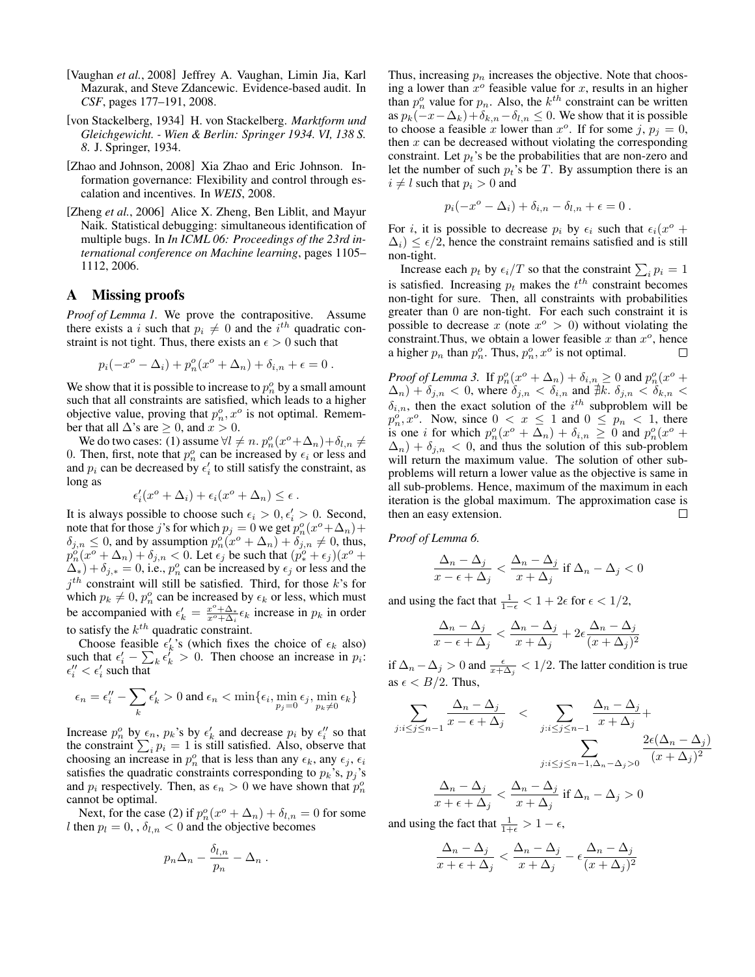- [Vaughan *et al.*, 2008] Jeffrey A. Vaughan, Limin Jia, Karl Mazurak, and Steve Zdancewic. Evidence-based audit. In *CSF*, pages 177–191, 2008.
- [von Stackelberg, 1934] H. von Stackelberg. *Marktform und Gleichgewicht. - Wien & Berlin: Springer 1934. VI, 138 S. 8*. J. Springer, 1934.
- [Zhao and Johnson, 2008] Xia Zhao and Eric Johnson. Information governance: Flexibility and control through escalation and incentives. In *WEIS*, 2008.
- [Zheng *et al.*, 2006] Alice X. Zheng, Ben Liblit, and Mayur Naik. Statistical debugging: simultaneous identification of multiple bugs. In *In ICML 06: Proceedings of the 23rd international conference on Machine learning*, pages 1105– 1112, 2006.

# A Missing proofs

*Proof of Lemma 1.* We prove the contrapositive. Assume there exists a i such that  $p_i \neq 0$  and the i<sup>th</sup> quadratic constraint is not tight. Thus, there exists an  $\epsilon > 0$  such that

$$
p_i(-x^o - \Delta_i) + p_n^o(x^o + \Delta_n) + \delta_{i,n} + \epsilon = 0.
$$

We show that it is possible to increase to  $p_n^o$  by a small amount such that all constraints are satisfied, which leads to a higher objective value, proving that  $p_n^o, x^o$  is not optimal. Remember that all  $\Delta$ 's are  $\geq 0$ , and  $x > 0$ .

We do two cases: (1) assume  $\forall l \neq n$ .  $p_n^o(x^o + \Delta_n) + \delta_{l,n} \neq$ 0. Then, first, note that  $p_n^o$  can be increased by  $\epsilon_i$  or less and and  $p_i$  can be decreased by  $\epsilon'_i$  to still satisfy the constraint, as long as

$$
\epsilon'_i(x^o + \Delta_i) + \epsilon_i(x^o + \Delta_n) \le \epsilon.
$$

It is always possible to choose such  $\epsilon_i > 0, \epsilon'_i > 0$ . Second, note that for those j's for which  $p_j = 0$  we get  $p_n^o(x^o + \Delta_n)$  +  $\delta_{j,n} \leq 0$ , and by assumption  $p_n^o(x^o + \Delta_n) + \delta_{j,n} \neq 0$ , thus,  $p_n^o(x^o + \Delta_n) + \delta_{j,n} < 0$ . Let  $\epsilon_j$  be such that  $(p_*^o + \epsilon_j)(x^o +$  $\Delta^*$ ) +  $\delta_{j,*} = 0$ , i.e.,  $p_n^o$  can be increased by  $\epsilon_j$  or less and the  $j<sup>th</sup>$  constraint will still be satisfied. Third, for those k's for which  $p_k \neq 0$ ,  $p_n^o$  can be increased by  $\epsilon_k$  or less, which must be accompanied with  $\epsilon'_k = \frac{x^o + \Delta_*}{x^o + \Delta_i} \epsilon_k$  increase in  $p_k$  in order to satisfy the  $k^{th}$  quadratic constraint.

Choose feasible  $\epsilon'_k$ 's (which fixes the choice of  $\epsilon_k$  also) such that  $\epsilon'_i - \sum_k \epsilon''_k > 0$ . Then choose an increase in  $p_i$ :  $\epsilon''_i < \epsilon'_i$  such that

$$
\epsilon_n=\epsilon_i''-\sum_k \epsilon_k'>0 \text{ and } \epsilon_n<\min\{\epsilon_i,\min_{p_j=0} \epsilon_j,\min_{p_k\neq 0} \epsilon_k\}
$$

Increase  $p_n^o$  by  $\epsilon_n$ ,  $p_k$ 's by  $\epsilon'_k$  and decrease  $p_i$  by  $\epsilon''_i$  so that the constraint  $\sum_i p_i = 1$  is still satisfied. Also, observe that choosing an increase in  $p_n^o$  that is less than any  $\epsilon_k$ , any  $\epsilon_j$ ,  $\epsilon_i$ satisfies the quadratic constraints corresponding to  $p_k$ 's,  $p_j$ 's and  $p_i$  respectively. Then, as  $\epsilon_n > 0$  we have shown that  $p_n^o$ cannot be optimal.

Next, for the case (2) if  $p_n^o(x^o + \Delta_n) + \delta_{l,n} = 0$  for some l then  $p_l = 0$ , ,  $\delta_{l,n} < 0$  and the objective becomes

$$
p_n\Delta_n-\frac{\delta_{l,n}}{p_n}-\Delta_n.
$$

Thus, increasing  $p_n$  increases the objective. Note that choosing a lower than  $x^{\circ}$  feasible value for x, results in an higher than  $p_n^o$  value for  $p_n$ . Also, the  $k^{th}$  constraint can be written as  $p_k(-x-\Delta_k)+\delta_{k,n}-\delta_{l,n}\leq 0$ . We show that it is possible to choose a feasible x lower than  $x^o$ . If for some j,  $p_j = 0$ , then  $x$  can be decreased without violating the corresponding constraint. Let  $p_t$ 's be the probabilities that are non-zero and let the number of such  $p_t$ 's be T. By assumption there is an  $i \neq l$  such that  $p_i > 0$  and

$$
p_i(-x^o - \Delta_i) + \delta_{i,n} - \delta_{l,n} + \epsilon = 0.
$$

For *i*, it is possible to decrease  $p_i$  by  $\epsilon_i$  such that  $\epsilon_i(x^{\circ} +$  $\Delta_i$ )  $\leq \epsilon/2$ , hence the constraint remains satisfied and is still non-tight.

Increase each  $p_t$  by  $\epsilon_i/T$  so that the constraint  $\sum_i p_i = 1$ is satisfied. Increasing  $p_t$  makes the  $t^{th}$  constraint becomes non-tight for sure. Then, all constraints with probabilities greater than 0 are non-tight. For each such constraint it is possible to decrease x (note  $x^{\circ} > 0$ ) without violating the constraint. Thus, we obtain a lower feasible x than  $x^o$ , hence a higher  $p_n$  than  $p_n^o$ . Thus,  $p_n^o$ ,  $x^o$  is not optimal. П

*Proof of Lemma 3.* If  $p_n^o(x^o + \Delta_n) + \delta_{i,n} \geq 0$  and  $p_n^o(x^o +$  $(\Delta_n) + \delta_{j,n} < 0$ , where  $\delta_{j,n} < \delta_{i,n}$  and  $\sharp k$ .  $\delta_{j,n} < \delta_{k,n} <$  $\delta_{i,n}$ , then the exact solution of the  $i^{th}$  subproblem will be  $p_n^o, x^o$ . Now, since  $0 < x \le 1$  and  $0 \le p_n < 1$ , there is one *i* for which  $p_n^o(x^o + \Delta_n) + \delta_{i,n} \geq 0$  and  $p_n^o(x^o +$  $\Delta_n$ ) +  $\delta_{j,n}$  < 0, and thus the solution of this sub-problem will return the maximum value. The solution of other subproblems will return a lower value as the objective is same in all sub-problems. Hence, maximum of the maximum in each iteration is the global maximum. The approximation case is then an easy extension.  $\Box$ 

*Proof of Lemma 6.*

$$
\frac{\Delta_n - \Delta_j}{x - \epsilon + \Delta_j} < \frac{\Delta_n - \Delta_j}{x + \Delta_j} \text{ if } \Delta_n - \Delta_j < 0
$$

and using the fact that  $\frac{1}{1-\epsilon} < 1 + 2\epsilon$  for  $\epsilon < 1/2$ ,

$$
\frac{\Delta_n - \Delta_j}{x - \epsilon + \Delta_j} < \frac{\Delta_n - \Delta_j}{x + \Delta_j} + 2\epsilon \frac{\Delta_n - \Delta_j}{(x + \Delta_j)^2}
$$

if  $\Delta_n - \Delta_j > 0$  and  $\frac{\epsilon}{x + \Delta_j} < 1/2$ . The latter condition is true as  $\epsilon < B/2$ . Thus,

$$
\sum_{j:i \leq j \leq n-1} \frac{\Delta_n - \Delta_j}{x - \epsilon + \Delta_j} < \sum_{j:i \leq j \leq n-1} \frac{\Delta_n - \Delta_j}{x + \Delta_j} + \sum_{j:i \leq j \leq n-1, \Delta_n - \Delta_j > 0} \frac{2\epsilon (\Delta_n - \Delta_j)}{(x + \Delta_j)^2}
$$

$$
\frac{\Delta_n - \Delta_j}{x + \epsilon + \Delta_j} < \frac{\Delta_n - \Delta_j}{x + \Delta_j} \text{ if } \Delta_n - \Delta_j > 0
$$

and using the fact that  $\frac{1}{1+\epsilon} > 1 - \epsilon$ ,

$$
\frac{\Delta_n - \Delta_j}{x + \epsilon + \Delta_j} < \frac{\Delta_n - \Delta_j}{x + \Delta_j} - \epsilon \frac{\Delta_n - \Delta_j}{(x + \Delta_j)^2}
$$